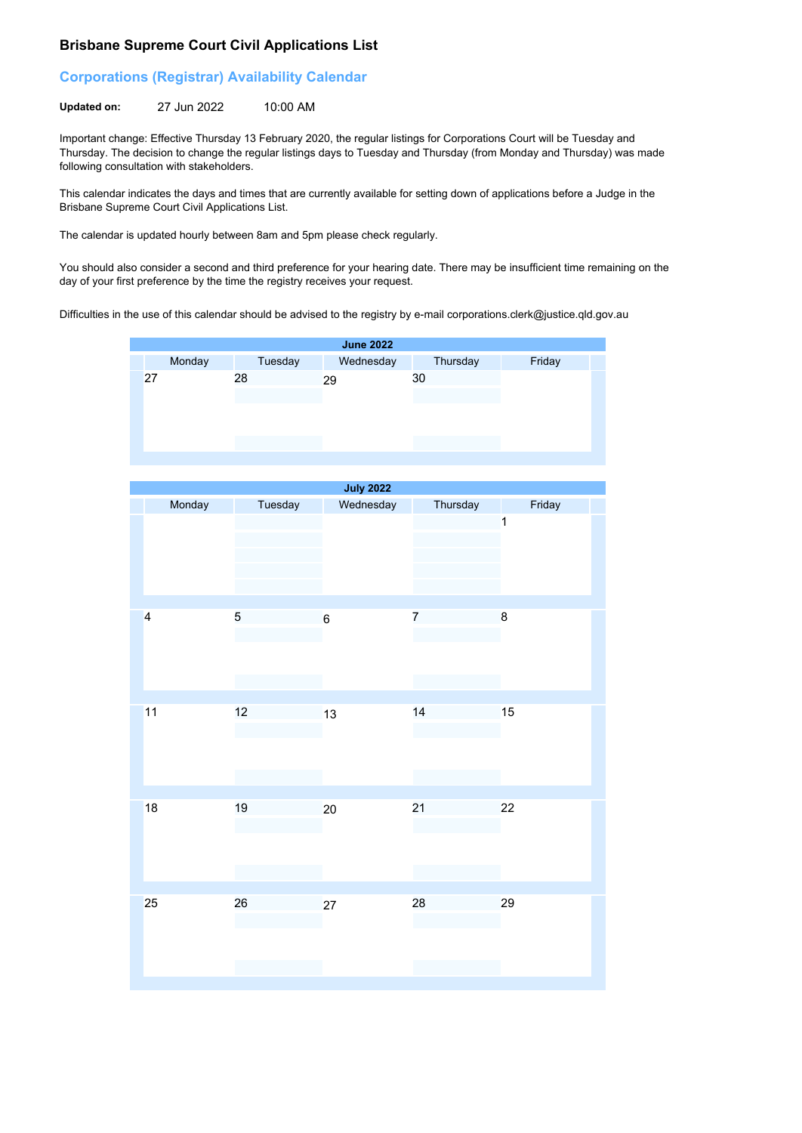## **Brisbane Supreme Court Civil Applications List**

## **Corporations (Registrar) Availability Calendar**

**Updated on:** 27 Jun 2022 10:00 AM

Important change: Effective Thursday 13 February 2020, the regular listings for Corporations Court will be Tuesday and Thursday. The decision to change the regular listings days to Tuesday and Thursday (from Monday and Thursday) was made following consultation with stakeholders.

This calendar indicates the days and times that are currently available for setting down of applications before a Judge in the Brisbane Supreme Court Civil Applications List.

The calendar is updated hourly between 8am and 5pm please check regularly.

You should also consider a second and third preference for your hearing date. There may be insufficient time remaining on the day of your first preference by the time the registry receives your request.

Difficulties in the use of this calendar should be advised to the registry by e-mail corporations.clerk@justice.qld.gov.au



| <b>July 2022</b>        |         |                |                |                         |  |  |  |
|-------------------------|---------|----------------|----------------|-------------------------|--|--|--|
| Monday                  | Tuesday | Wednesday      | Thursday       | Friday                  |  |  |  |
|                         |         |                |                | $\overline{\mathbf{1}}$ |  |  |  |
| $\overline{\mathbf{4}}$ | 5       | $6\phantom{a}$ | $\overline{7}$ | $\bf 8$                 |  |  |  |
| 11                      | 12      | 13             | 14             | 15                      |  |  |  |
| 18                      | 19      | 20             | 21             | 22                      |  |  |  |
| 25                      | 26      | 27             | 28             | 29                      |  |  |  |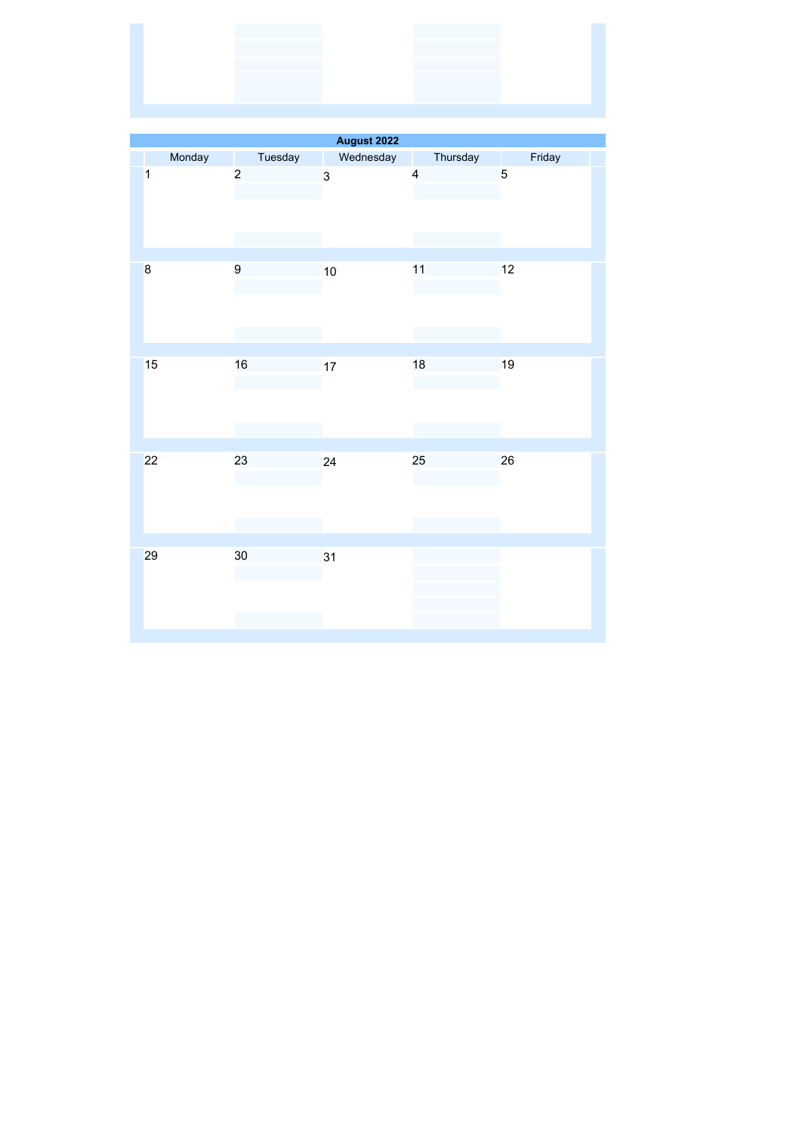| and the contract of the contract of the contract of the contract of the contract of<br>the control of the control of the control of the control of the control of<br>the control of the control of the control of the control of |  |  |  |
|----------------------------------------------------------------------------------------------------------------------------------------------------------------------------------------------------------------------------------|--|--|--|
|                                                                                                                                                                                                                                  |  |  |  |
|                                                                                                                                                                                                                                  |  |  |  |
|                                                                                                                                                                                                                                  |  |  |  |
|                                                                                                                                                                                                                                  |  |  |  |
|                                                                                                                                                                                                                                  |  |  |  |
|                                                                                                                                                                                                                                  |  |  |  |
|                                                                                                                                                                                                                                  |  |  |  |
|                                                                                                                                                                                                                                  |  |  |  |
|                                                                                                                                                                                                                                  |  |  |  |
|                                                                                                                                                                                                                                  |  |  |  |
|                                                                                                                                                                                                                                  |  |  |  |
|                                                                                                                                                                                                                                  |  |  |  |

| August 2022             |        |                |           |                         |        |  |
|-------------------------|--------|----------------|-----------|-------------------------|--------|--|
|                         | Monday | Tuesday        | Wednesday | Thursday                | Friday |  |
| $\overline{\mathbf{1}}$ |        | $\overline{c}$ | 3         | $\overline{\mathbf{4}}$ | 5      |  |
| $\bf{8}$                |        | 9              | 10        | 11                      | 12     |  |
| 15                      |        | 16             | 17        | 18                      | 19     |  |
| 22                      |        | 23             | 24        | 25                      | 26     |  |
| 29                      |        | 30             | 31        |                         |        |  |